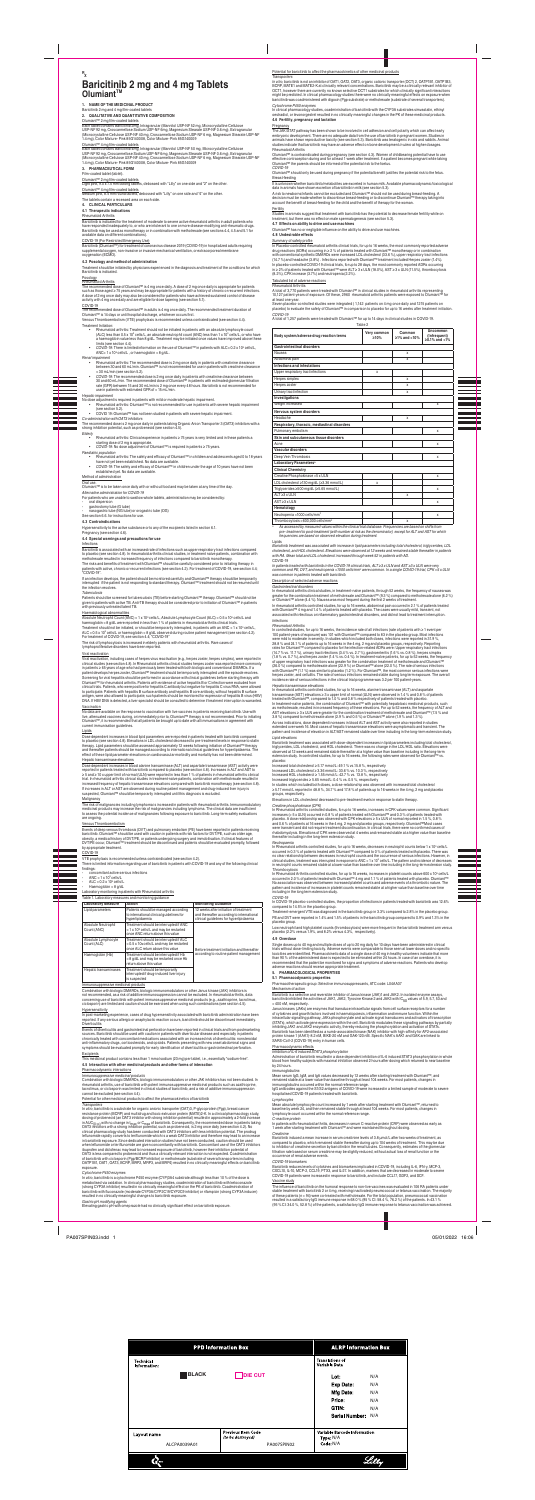### **R X Baricitinib 2 mg and 4 mg Tablets OlumiantTM**

# **1. NAME OF THE MEDICINAL PRODUCT** Baricitinib 2 mg and 4 mg film‑coated tablets **2. QUALITATIVE AND QUANTITATIVE COMPOSITION**

Olumiant‴ 2 rrig imit∺coateu taoleis<br>Each tablet contains Baricitinib 2mg, Intragranular (Mannitol USP-NF 52 mg, Microcrystalline Cellulose<br>USP-NF 92 mg, Croscarmellose USP-NF 40 mg, Croscarmellose Sodium USP-NF 0.6 mg),

Olumiant''' 4 mg nim-coated tablets<br>Each tablet contains Baricitinib 4mg, Intragranular (Mannitol USP-NF 50 mg, Microcrystalline Cellulose<br>USP-NF 92 mg, Croscarmellose USP-NF 40 mg, Croscarmellose Sodium USP-NF 0.6 mg), Ex

**3. PHARMACEUTICAL FORM**

r-iim-coated tablet (tablet).<br>Olumiant™ 2 mg film-coated tablets<br>Light pink, 9.0 x 7.5 mm oblong tablets, debossed with "Lilly" on one side and "2" on the other.

Olumiart™ 4 mg nim-coated tablets;<br>Medium pink, 8.5 mm round tablets, debossed with "Lilly" on one side and "4" on the other.<br>The tablets contain a recessed area on each side.

### **4. CLINICAL PARTICULARS 4.1 Therapeutic indications**

Rheumatoid Arthritis

banctining is indicated for the freatment of moderate to severe active meumation arthritis in adult patients who<br>have responded inadequately to, or who are intolerant to one or more disease-modifying anti-rheumatic drugs.<br>

### COVID-19 (For Restricted Emergency Use)

# Baricitinio (Olumiant<sup>u</sup>''') for treatment of coronavirus ciisease 2019 (COVID-19) in nospitalized aduits requiring<br>supplemental oxygen, non-invasive or invasive mechanical ventilation, or extracorporeal membrane<br>oxygenati

### **4.2 Posology and method of administration**

Treatment should be initiated by physicians experienced in the diagnosis and treatment of the conditions for which

# partunum us intincated.<br>Rheumatoid Arthritis<br>The recommended dose of Olumiant™ is 4 mg once daily. A dose of 2 mg once daily is appropriate for patients<br>such as those aged ≥ 75 years and may be appropriate for patients wi

UVIU-19<br>The recommended dose of Olumiant™ in adults is 4 mg once daily. The recommended treatment duration of<br>Olumiant™ is 14 days or until hospital discharge, whichever occurs first.<br>Venous Thromboembolism (VTE) prophyla

• Hollamano armimis: tractment snout on to e-imataeo in patients wirn an absolute lymphocyte count<br>a haemoglobin value less than 8 g/dL. Treatment may be initiated once values han 1 x 10° cells/L, or who have<br>limits (see

- *COVID-19:* There is limited information on the use of Olumiant™ in patients with ALC< 0.2 x 10<sup>9</sup> ANC< 1 x 10<sup>9</sup>
- 
- Anvioring that<br> **Anvioring the Commental development and the Commental of the Commentation**<br> **Anal impairment**<br> **Anal impairment**<br> **Anal impairment**<br> **Anal impairment between 30 and 60 mL/min. Oluminant<sup>na</sup> is not recommen**
- *Hepatic impairment* No dose adjustment is required in patients with mild or moderate hepatic impairment. Rheumatoid arthritis: Olumiant™ is not recommended for use in patients with severe hepatic impairment (see section 5.2). COVID 19: Olumiant™ has not been studied in patients with severe hepatic impairment.
- 

- Co-administration with OAT3 inhibitors<br>The recommended dose is 2 mg once daily in patients taking Organic Anion Transporter 3 (OAT3) inhibitors with a<br>strong inhibition potential, such as probenecid (see section 4.5).<br>Elde
- 
- Rheumatoid arthritis: Clinical experience in patients ≥ 75 years is very limited and in these patients a starting dose of 2 mg is appropriate. *COVID-19:* No dose adjustment of Olumiant™ is required in patients ≥ 75 years.
- 
- *Paediatric population*<br>• Rheumatoid arthritis: The safety and efficacy of Olumiant™ in children and adolescents aged 0 to 18 years<br>have not yet been established. No data are available. • *COVID-19:* The safety and efficacy of Olumiant™ in children under the age of 10 years have not been
- established of administration<br>Method of administration<br>Oral use.<br>Olumiant™ is to be taken once daily with or without food and may be taken at any time of the day.

Ariemative administration for CUVID-19<br>For patients who are unable to swallow whole tablets, administration may be considered by:<br>- oral dispersion<br>- aasogastric tube (Gubbe) or orogastric tube (OG)<br>- aasogastric tube (NG

**4.3 Contraindications**

### Hypersensitivity to the active substance or to any of the excipients listed in section 6.1.

Pregnancy (see section 4.6).

### **4.4 Special warnings and precautions for use**

**Infections** 

baricitinio is associated with an increased rate of infections such as upper respiratory tract infections compared<br>to placebo (see section 4.8). In rheumatoid arthritis clinical studies, in treatment naïve patients, combin

The risks and benefits of treatment with Olumiant''" should be carefully considered prior to initiating therapy in<br>patients with active, chronic or recurrent infections (see section 4.2). For treatment of COVID-19, see sec

"CUVID-19".<br>If an infection develops, the patient should be monitored carefully and Olumiant™ therapy should be temporarily<br>interrupted if the patient is not responding to standard therapy. Olumiant™ treatment should not

*l uDerculosis*<br>Patients should be screened for tuberculosis (TB) before starting Olumiant™ therapy. Olumiant™ should not be<br>given to patients with active TB. Anti-TB therapy should be considered prior to initiation of Ol

Haematological anormaniles<br>Absolute Neutrophii Count (ANC) < 1 x 10° cells/L, Absolute Lymphocyte Count (ALC) < 0.5 x 10° cells/L and<br>haemoglobin < 8 g/dL were reported in less than 1 % of patients in rheumatoid arthritis

The risk of lymphocytosis is increased in elderly patients with rheumatoid arthritis. Hare cases of<br>lymphoproliferative disorders have been reported.

virai reactivation<br>Viral reactivation, including cases of herpes virus reactivation (e.g., herpes zoster, herpes simplex), were reported in<br>clinical studies (see section 4.8). In Rheumatoid arthritis clinical studies herpe in patients ≥ 65 years or age wno nad previously been treated with both biologic and conventional DMAHDs. If a<br>patient develops herpes zoster, Olumiant™ treatment should be temporarily interrupted until the episode resolv Screening for viral nepatitis snould be performed in accordance with clinical guidelines before starting therapy with<br>Olumiant™ for rheumatoid arthritis. Patients with evidence of active hepatitis B or C infection were ex cinical trials. Patients, who were positive for nepatits C antibody put negative for hepatitis C vrius HNA, were allowed<br>antigority and the state of the state of the state antibody and hepatitis B core antibody, without he

Compination win biologic DiviAr-Dis, piologic immunomozulations or ortier Janus Kinase (JaA) innibitors is<br>contrecommended, as a risk of additive immunosuppression cannot be excluded. In rheumatoid arthritis, data<br>concerni Hypersensitivity

in post-marketing experience, cases or drug nypersensitivity associated with baricitinib administration nave been<br>reported. If any serious allergic or anaphylactic reaction occurs, baricitinib should be discontinued immedi **Diverticulitis** 

Events of diverticulitis and gastrointestinal perforation have been reported in clinical trials and from postmarketing sources. Sancrimin shoura de used wrim caution in parients wint diverticuar disease and especially in parients<br>anti-inflammatory drugs, corticosteroids, and opioids . Patients presenting with new onset abdominal signs and<br>

### **Excipients**

### Vaccination

**Lipids** 

No data are available on the response to vaccination with ive vaccines in patients receiving pancitinib. Use with<br>live, attenuated vaccines during, or immediately prior to, Olumiant™ therapy is not recommended. Prior to in

C*ytocnrome P450 enzymes*<br>In clinical pharmacology studies, coadministration of baricitinib with the CYP3A substrates simvastatin, ethinyl<br>oestradiol, or levonorgestrel resulted in no clinically meaningful changes in the P **4.6 Fertility, pregnancy and lactation**

### **Pregnancy**

 $\overline{\phantom{a}}$ 

r ne JANO i Ar platinem affis been snown to be introduced in cell attacked in an dictar polarity when can affecteanly members and proportional embers of the members of the members of the members of the members of the membe

rnieuriation Arminis<br>Olumiant<sup>104</sup> is contraindicated during pregnancy (see section 4.3). Women of childbearing potential have to use<br>Olumiant<sup>104</sup> is contraindicated during and for at least 1 week after treatment. If a pa

COVID-19<br>Olumiant™ should only be used during pregnancy if the potential benefit justifies the potential risk to the fetus.<br>Breast-feeding

<u>breast-recomp</u><br>It is unknown whether baricitinib/metabolites are excreted in human milk. Available pharmacodynamic/toxicological<br>data in animals have shown excretion of baricitinib in milk (see section 5.3).<br>A risk to ne

<u>rerrumy</u><br>Studies in animals suggest that treatment with baricitinib has the potential to decrease female fertility while on<br>treatment, but there was no effect on male spermatogenesis (see section 5.3).<br>4.7 Effects on abil

COVID-19 VTE prophylaxis is recommended unless contraindicated (see section 4.2). There is limited information regarding use of baricitinib in patients with COVID-19 and any of the following clinical findings:

ngs:<br>concomitant active serious infections - ANC < 1 x 10° cells/L<br>- ALC < 0.2 x 10° cells/L

- Haemoglobin < 8 g/dL

### Laboratory monitoring in patients with Rheumatoid arthritis

Table 1. Laboratory measures and monitoring guidance **Laboratory Measure Action Monitoring Guidance**

| Laboratory measure                 | <b>ACLION</b>                                                                                                                    | <b>Monitoring Guidance</b>                                                                                                     |
|------------------------------------|----------------------------------------------------------------------------------------------------------------------------------|--------------------------------------------------------------------------------------------------------------------------------|
| Lipid parameters                   | Patients should be managed according<br>to international clinical quidelines for<br>hyperlipidaemia                              | 12 weeks after initiation of treatment<br>and thereafter according to international<br>clinical quidelines for hyperlipidaemia |
| Absolute Neutrophil<br>Count (ANC) | Treatment should be interrupted if ANC<br>< 1 x 10 <sup>9</sup> cells/L and may be restarted<br>once ANC return above this value |                                                                                                                                |
| Absolute Lymphocyte<br>Count (ALC) | Treatment should be interrupted if ALC<br>< 0.5 x 109 cells/L and may be restarted<br>once ALC return above this value           | Before treatment initiation and thereafter                                                                                     |
| Haemoglobin (Hb)                   | Treatment should be interrupted if Hb<br><8 g/dL and may be restarted once Hb<br>return above this value                         | according to routine patient management                                                                                        |
| Hepatic transaminases              | Treatment should be temporarily<br>interrupted if drug-induced liver injury<br>is suspected                                      |                                                                                                                                |

### Immunosuppressive medicinal products

*Lipid elevations*<br>Baricitinib treatment was associated with dose-dependent increases in lipid parameters including total cholesterol,<br>observed at 12 uverks and remained stable thereafter at a higher value than baseline i placebo:

increased total choiesterol ≥ 5.17 mmoi/L: 49.1 % vs.15.8 %, respectively<br>Increased LDL cholesterol ≥ 3.36 mmoi/L: 33.6 % vs. 10.3 %, respectively<br>Increased HDL cholesterol ≥ 1.55 mmoi/L: 42.7 % vs. 13.8 %, respectively<br>I

## in studies which included both doses, a dose-relationship was observed with increased total cholesterol<br>≥ 5.17 mmol/L reported in 48.8 %, 34.7 % and 17.8 % of patients up to 16 weeks in the 4 mg, 2 mg and placebo

Creatine prosponsinates (CPM)<br>In Rheumatoid arthritis controlled studies, for up to 16 weeks, increases in CPK values were common. Significant<br>increases (> 5 x ULN) occurred in 0.8 % of patients treated with Olumiant™ and rhabdomyolysis. Elevations of CPK were observed at 4 weeks and remained stable at a higher value than baseline thereafter including in the long-term extension study.

Neurropaenia<br>In Rheumatoid arthritis controlled studies, for up to 16 weeks, decreases in neutrophil counts below 1 x 10° cells/L<br>occurred in 0.3 % of patients treated with Olumiant<sup>116</sup> compared to 0 % of patients treated

This medicinal product contains less than 1 mmol sodium (23 mg) per tablet, i.e., essentially "sodium-free". **4.5 Interaction with other medicinal products and other forms of interaction**

Pharmacodynamic interactions

immunosuppressive meriorinar products<br>Combination with biologic DMARDs, biologic immunomodulators or other JAK inhibitors has not been studied. In<br>rheumatoid arthritis, use of baricitinib with potent immunosuppressive medi

Potential for other medicinal products to affect the pharmacokinetics of baricitinib

*Iransporters*<br> *Information* is a substrate for organic anionic transporter (OAT)3, P-glycoprotein (Pgp), breast cancer<br> *In virto*, barcitinib is a substrate for organic anionic transporter (OAT)3, P-glycoprotein (Pgp), when lettimomide or territunomide are given concomitantly with baroctimib. Concomitant use of the OA13 imitiations<br>Disprofein and diclofenac may lead to increased exposure of baricitinib, however their inhibition potential

exposure.<br>Cytochrome P450 enzymes<br>metabolised via cytochrome P450 enzyme (CYP)3A4 substrate although less than 10 % of the dose is<br>metabolised via oxidation. In clinical pharmacology studies, coadministration of baricitini

In Rheumatoid Arthritis controlled studies, for up to 16 weeks, increases in platelet counts above 600 x 10" cells/L<br>occurred in 2.0 % of patients treated with Olumiant™4 -mg and 1.1 % of patients treated with placebo. Olu including in the long term extension study.

COVID-19 biomarkers<br>Baricitinib reduces levels of cytokines and biomarkers implicated in COVID-19, including IL-6, IFN-y, MCP-3,<br>CXCL10, IL-10, MCP-2, CCL19, PTX3, and IL-27. In addition, markers that are decreased in mode Vaccine study

The influence of bancotinio on the humoral response to non-live vaccines was evaluated in 106 HA patients under<br>Istable treatment with baricitinib 2 or 4 mg, receiving inactivated pneumococcal or tetanus vaccination. The m

### Potential for baricitinib to affect the pharmacokinetics of other medicinal products

Transporters<br>In the particlinib is not an inhibitor of OAT1, OAT2, OAT3, organic cationic transporter (OCT) 2, OATP1B1, OATP1B3,<br>BCRP, MATE1 and MATE2-K at clinically relevant concentrations. Baricitinib may be a clinicall

|                                  |              | <b>PPD Information Box</b>                     | <b>ALRP Information Box</b>               |
|----------------------------------|--------------|------------------------------------------------|-------------------------------------------|
| <b>Technical</b><br>Information: |              |                                                | <b>Translations of</b><br>Variable Data   |
|                                  | <b>BLACK</b> | <b>DIE CUT</b>                                 | Lot:<br>N/A                               |
|                                  |              |                                                | Exp Date:<br>N/A                          |
|                                  |              |                                                | Mfg Date:<br>N/A                          |
|                                  |              |                                                | Price:<br>N/A                             |
|                                  |              |                                                | GTIN:<br>N/A                              |
|                                  |              |                                                | Serial Number: N/A                        |
| Layout name                      |              | <b>Previous Item Code</b><br>(to be destroyed) | Variable Barcode Information<br>Type: N/A |
|                                  | ALCPA0039A01 | PA007SPIN02                                    | Code: N/A                                 |



**4.8 Undesirable effects**

Summary of safety profile

in Piacebo-controller meunitation armins climical trials, for up to to weless, the most commonly reported and<br>drug reactions (ADRs) occurring in 2 2 % of patients treated with Olumiant<sup>114</sup> monotherapy or in combination<br>wi

Tabulated list of adverse reactions

Hneumatoio Arthrins<br>A total of 3,770 patients were treated with Olumiant™ in clinical studies in rheumatoid arthritis representing<br>10,127 patient-years of exposure. Of these, 2960 rheumatoid arthritis patients were expose

*COVID-19* A total of 1,257 patients were treated with Olumiant™ for up to 14 days in clinical studies in COVID-19. Table 2

|                                              | Table 2             |                              |                                           |
|----------------------------------------------|---------------------|------------------------------|-------------------------------------------|
| Body system/adverse drug reaction terms      | Very common<br>>10% | Common<br>$\geq$ 1% and <10% | Uncommon<br>(Infrequent)<br>≥0.1% and <1% |
| <b>Gastrointestinal disorders</b>            |                     |                              |                                           |
| Nausea                                       |                     | X                            |                                           |
| Abdominal pain                               |                     | x                            |                                           |
| Infections and infestations                  |                     |                              |                                           |
| Upper respiratory tract infections           | x                   |                              |                                           |
| Herpes simplex                               |                     | x                            |                                           |
| Herpes zoster                                |                     | x                            |                                           |
| Urinary tract infection                      |                     | X                            |                                           |
| Investigations                               |                     |                              |                                           |
| Weight increased                             |                     |                              | x                                         |
| Nervous system disorders                     |                     |                              |                                           |
| Headache                                     |                     | X                            |                                           |
| Respiratory, thoracic, mediastinal disorders |                     |                              |                                           |
| Pulmonary embolism                           |                     |                              | x                                         |
| Skin and subcutaneous tissue disorders       |                     |                              |                                           |
| Acne                                         |                     |                              | x                                         |
| Vascular disorders                           |                     |                              |                                           |
| Deep Vein Thrombosis                         |                     |                              | x                                         |
| Laboratory Parameters <sup>a</sup>           |                     |                              |                                           |
| <b>Clinical Chemistry</b>                    |                     |                              |                                           |
| Creatine Phosphokinase >5 x ULN              |                     |                              | x                                         |
| LDL cholesterol ≥130 mg/dL (≥3.36 mmol/L)    | x                   |                              |                                           |
| Triglycerides ≥500 mg/dL (≥5.65 mmol/L)      |                     |                              | x                                         |
| $ALT > 3x$ ULN                               |                     | X                            |                                           |
| $AST > 3x$ ULN                               |                     |                              | x                                         |
| Hematology                                   |                     |                              |                                           |
| Neutropenia <1000 cells/mm <sup>3</sup>      |                     |                              | x                                         |
|                                              |                     |                              |                                           |

Thrombocytosis >600,000 cells/mm\*<br>As assessed by measured values within the clinical trial database. Frequencies are based on shifts from<br>pre- treatment to post-treatment (with number at risk as the denominator), except fo

Lipias<br>Baricitinib treatment was associated with increase in lipid parameters including total cholesterol, triglycerides, LDL<br>cholesterol, and HDL cholesterol. Elevations were observed at 12 weeks and remained stable there

CovID-19<br>In patients treated with baricitinib in the COVID-19 clinical trials, ALT ≥3 x ULN and AST ≥3 x ULN were very<br>common and PE, DVT, and neutropenia < 1000 cells/mmª were common. In a single COVID-19 trial, CPK >5 x

*a*

*Hneumatolo Armrins*<br>The controlled studies, for up to 16 weeks, the incidence rate of all infections (rate of patients with ≥ 1 event per<br>100 patient-years of exposure) was 101 with Olumiant™ compared to 83 in the placeb (14.7% vs. 11.7%), um/any/tractivencetors (3.4% vs. 2.4%), gastroententins (1.5% vs. 0.4%), nepres simplex<br>(1.8% vs. 0.7%), and herpes zoster (1.4% vs. 0.4%). In treatment-naïve patients, for up to 52 weeks, the frequency

Heparc ranssaminase elevations<br>In hermanization and space elevations (ALT) and aspartate<br>In the unitation at the studies, for up to 16 weeks, alanine transaminase (ALT) and aspartate<br>transaminase (AST) elevations  $\ge 3$  x

Across indications, dose dependent increases in biood ALI and AST activity were also reported in studies<br>extended over week 16. Most cases of hepatic transaminase elevations were asymptomatic and transient. The<br>pattern and

Uose dependent increases in blood ipind parametiers were reported in patients treated with bancitimib compared<br>to placebo (see section 4.8). Elevations in LDL cholesterol decreased to pre-treatment levels in response to st Hepatic transaminase elevations<br>Dose dependent increases in blo<br>renorted in nationts trasted with h

Uose dependent increases in Diood aianine transaminase (ALI) and asparate transaminase (ASI) a attivity were<br>reported in patients treated with baricitinib compared to placebo (see section 4.8). Increases in ALT and AST to If increases in ALT or AST are observed during routine patient management and drug-induced liver injury is<br>suspected, Olumiant™ should be temporarily interrupted until this diagnosis is excluded.

### **Malignancy**

l he risk of malignancies including lymphoma is increased in patients with meumatoid arthritis. Immunomodulatory<br>medicinal products may increase the risk of malignancies including lymphoma. The clinical data are insufficie

are orgong.<br>Events of deep venous thrombosis (DVT) and pulmonary embolism (PE) have been reported in patients receiving<br>baricitinh. Olumiant<sup>194</sup> should be used with caution in patients with risk factors for DVT/PE, such a

### Description of selected adverse reactions

dastromresman disorders<br>In thermatoid arthritis clinical studies, in treatment-naïve patients, through 52 weeks, the frequency of nausea was<br>greater for the combination treatment of methotrexate and Olumian<sup>tha</sup> (0.3 %) co

### *Infections*

groups, respectively. Elevations in LDL cholesterol decreased to pre-treatment levels in response to statin therapy.

### *COVID-19* In COVID-19 placebo-controlled studies, the proportion of infections in patients treated with baricitinib was 12.6%

compared to 14.5% in the placebo group.<br>Treatment-emergent VTE was diagnosed in the baricitinib group in 3.3% compared to 2.8% in the placebo group.<br>PE and DVT were reported in 1.4% and 1.5% of patients in the baricitinib

Low neutrophil and high platelet counts (thrombocytosis) were more frequent in the baricitinib treatment arm versus placebo (2.2% versus 1.9%, and 8.2% versus 4.3%, respectively).

4.9 Overdose<br>Single doses up to 40 mg and multiple doses of up to 20 mg daily for 10 days have been administered in clinical<br>trials without dose-limiting toxicity. Adverse events were comparable to those seen at lower dose

### **5. PHARMACOLOGICAL PROPERTIES**

**5.1 Pharmacodynamic properties** Pharmacotherapeutic group: Selective immunosuppressants, ATC code: L04AA37

M<u>e</u>chanism of action<br>Baricitinib is a selective and reversible inhibitor of Janus kinase (JAK)1 and JAK2. In isolated enzyme assays,<br>baricitinib inhibited the activities of JAK1, JAK2, Tyrosine Kinase 2 and JAK3 with IC<sub>5</sub>

Januas knaases (JAKs) are enzymes that transduce intracellular signals from cell surface receptors for a cumpler<br>of cytokines and growth factors involved in haematopoiesis, inflammation and immune function. Within the<br>intr

### Pharmacodynamic effects<br>Inhibition of IL-6 induced STAT3 phosphorylation

I*nhubtion of IL-È induced STAT S phosphoryation*<br>Administration of baricitinib resulted in a dose dependent inhibition of IL-6 induced STAT3 phosphorylation in whole<br>blood from healthy subjects with maximal inhibition obs

*lmmunoglobulms*<br>Mean serum IgG, IgM, and IgA values decreased by 12 weeks after starting treatment with Olumiant™, and<br>remained stable at a lower value than baseline through at least 104 weeks. For most patients, changes

Lymprocyres<br>Mean absolute lymphocyte count increased by 1 week after starting treatment with Olumiant™, returned to<br>baseline by week 24, and then remained stable through at least 104 weeks. For most patients, changes in<br>l

*C-reactive protein*<br>In patients with rheumatoid arthritis, decreases in serum C-reactive protein (CRP) were observed as early as<br>1 week after starting treatment with Olumiant™ and were maintained throughout dosing.

Creatinne<br>Baricitinib induced a mean increase in serum creatinine levels of 3.8 µmol/L after two weeks of treatment, as<br>compared to placebo, which remained stable thereafter during up to 104 weeks of treatment. This may be

PA007SPIN03.indd 1 05/01/2022 16:06